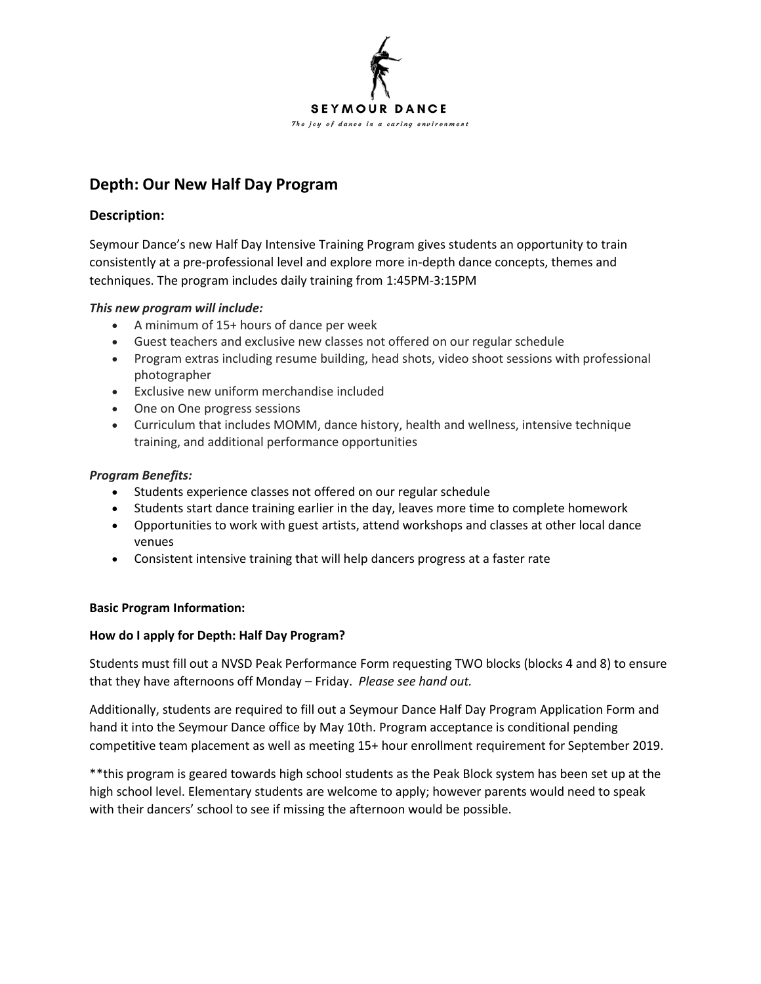

# **Depth: Our New Half Day Program**

# **Description:**

Seymour Dance's new Half Day Intensive Training Program gives students an opportunity to train consistently at a pre-professional level and explore more in-depth dance concepts, themes and techniques. The program includes daily training from 1:45PM-3:15PM

## *This new program will include:*

- A minimum of 15+ hours of dance per week
- Guest teachers and exclusive new classes not offered on our regular schedule
- Program extras including resume building, head shots, video shoot sessions with professional photographer
- Exclusive new uniform merchandise included
- One on One progress sessions
- Curriculum that includes MOMM, dance history, health and wellness, intensive technique training, and additional performance opportunities

## *Program Benefits:*

- Students experience classes not offered on our regular schedule
- Students start dance training earlier in the day, leaves more time to complete homework
- Opportunities to work with guest artists, attend workshops and classes at other local dance venues
- Consistent intensive training that will help dancers progress at a faster rate

## **Basic Program Information:**

# **How do I apply for Depth: Half Day Program?**

Students must fill out a NVSD Peak Performance Form requesting TWO blocks (blocks 4 and 8) to ensure that they have afternoons off Monday – Friday. *Please see hand out.* 

Additionally, students are required to fill out a Seymour Dance Half Day Program Application Form and hand it into the Seymour Dance office by May 10th. Program acceptance is conditional pending competitive team placement as well as meeting 15+ hour enrollment requirement for September 2019.

\*\*this program is geared towards high school students as the Peak Block system has been set up at the high school level. Elementary students are welcome to apply; however parents would need to speak with their dancers' school to see if missing the afternoon would be possible.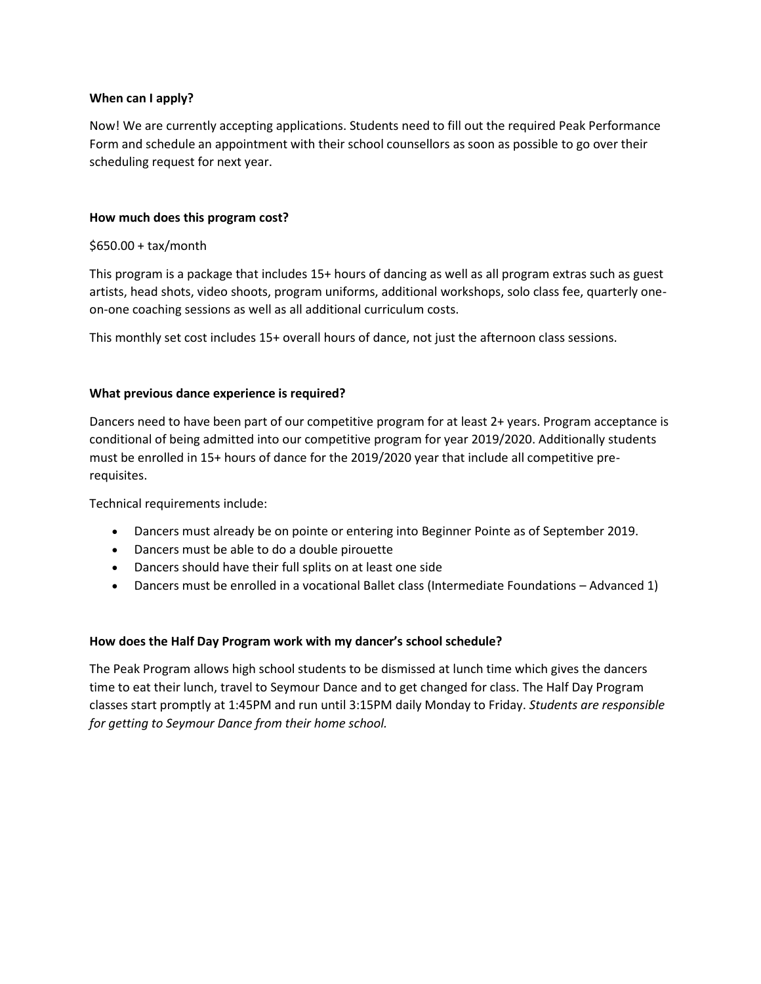## **When can I apply?**

Now! We are currently accepting applications. Students need to fill out the required Peak Performance Form and schedule an appointment with their school counsellors as soon as possible to go over their scheduling request for next year.

## **How much does this program cost?**

#### \$650.00 + tax/month

This program is a package that includes 15+ hours of dancing as well as all program extras such as guest artists, head shots, video shoots, program uniforms, additional workshops, solo class fee, quarterly oneon-one coaching sessions as well as all additional curriculum costs.

This monthly set cost includes 15+ overall hours of dance, not just the afternoon class sessions.

#### **What previous dance experience is required?**

Dancers need to have been part of our competitive program for at least 2+ years. Program acceptance is conditional of being admitted into our competitive program for year 2019/2020. Additionally students must be enrolled in 15+ hours of dance for the 2019/2020 year that include all competitive prerequisites.

Technical requirements include:

- Dancers must already be on pointe or entering into Beginner Pointe as of September 2019.
- Dancers must be able to do a double pirouette
- Dancers should have their full splits on at least one side
- Dancers must be enrolled in a vocational Ballet class (Intermediate Foundations Advanced 1)

## **How does the Half Day Program work with my dancer's school schedule?**

The Peak Program allows high school students to be dismissed at lunch time which gives the dancers time to eat their lunch, travel to Seymour Dance and to get changed for class. The Half Day Program classes start promptly at 1:45PM and run until 3:15PM daily Monday to Friday. *Students are responsible for getting to Seymour Dance from their home school.*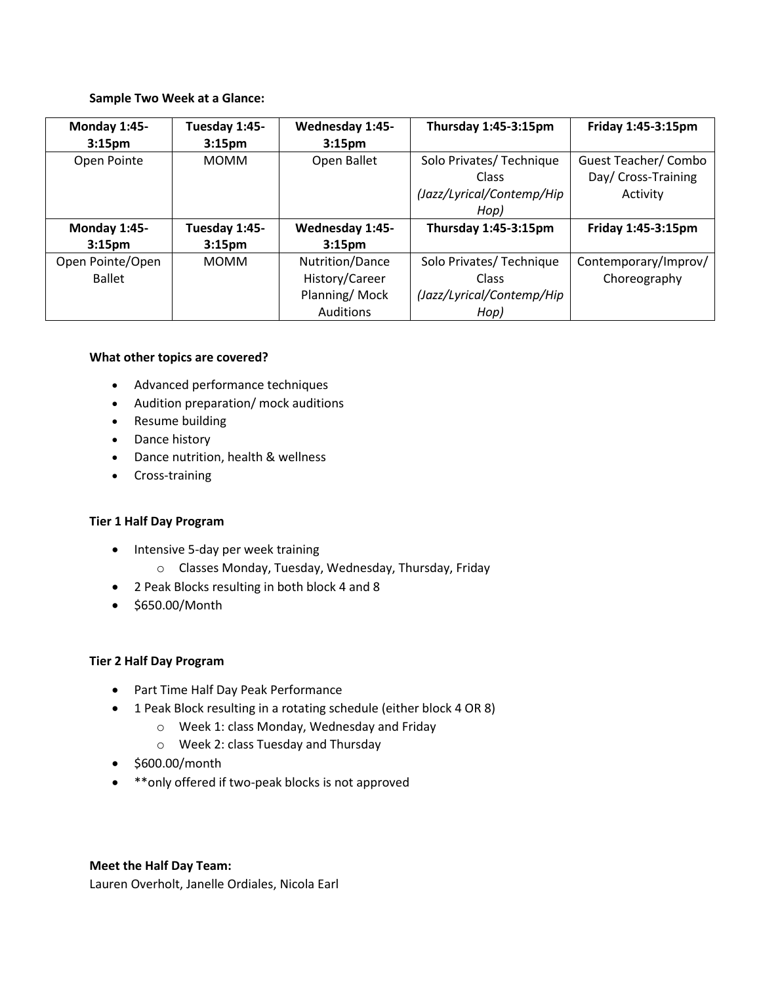#### **Sample Two Week at a Glance:**

| Monday 1:45-       | Tuesday 1:45-      | Wednesday 1:45-    | Thursday 1:45-3:15pm      | Friday 1:45-3:15pm   |
|--------------------|--------------------|--------------------|---------------------------|----------------------|
| 3:15 <sub>pm</sub> | 3:15 <sub>pm</sub> | 3:15 <sub>pm</sub> |                           |                      |
| Open Pointe        | <b>MOMM</b>        | Open Ballet        | Solo Privates/ Technique  | Guest Teacher/ Combo |
|                    |                    |                    | Class                     | Day/ Cross-Training  |
|                    |                    |                    | (Jazz/Lyrical/Contemp/Hip | Activity             |
|                    |                    |                    | Hop)                      |                      |
| Monday 1:45-       | Tuesday 1:45-      | Wednesday 1:45-    | Thursday 1:45-3:15pm      | Friday 1:45-3:15pm   |
| 3:15 <sub>pm</sub> | 3:15 <sub>pm</sub> | 3:15 <sub>pm</sub> |                           |                      |
| Open Pointe/Open   | <b>MOMM</b>        | Nutrition/Dance    | Solo Privates/ Technique  | Contemporary/Improv/ |
| <b>Ballet</b>      |                    | History/Career     | Class                     | Choreography         |
|                    |                    | Planning/Mock      | (Jazz/Lyrical/Contemp/Hip |                      |
|                    |                    | Auditions          | Hop)                      |                      |

#### **What other topics are covered?**

- Advanced performance techniques
- Audition preparation/ mock auditions
- Resume building
- Dance history
- Dance nutrition, health & wellness
- Cross-training

## **Tier 1 Half Day Program**

- Intensive 5-day per week training
	- o Classes Monday, Tuesday, Wednesday, Thursday, Friday
- 2 Peak Blocks resulting in both block 4 and 8
- \$650.00/Month

## **Tier 2 Half Day Program**

- Part Time Half Day Peak Performance
- 1 Peak Block resulting in a rotating schedule (either block 4 OR 8)
	- o Week 1: class Monday, Wednesday and Friday
	- o Week 2: class Tuesday and Thursday
- \$600.00/month
- \*\*only offered if two-peak blocks is not approved

## **Meet the Half Day Team:**

Lauren Overholt, Janelle Ordiales, Nicola Earl